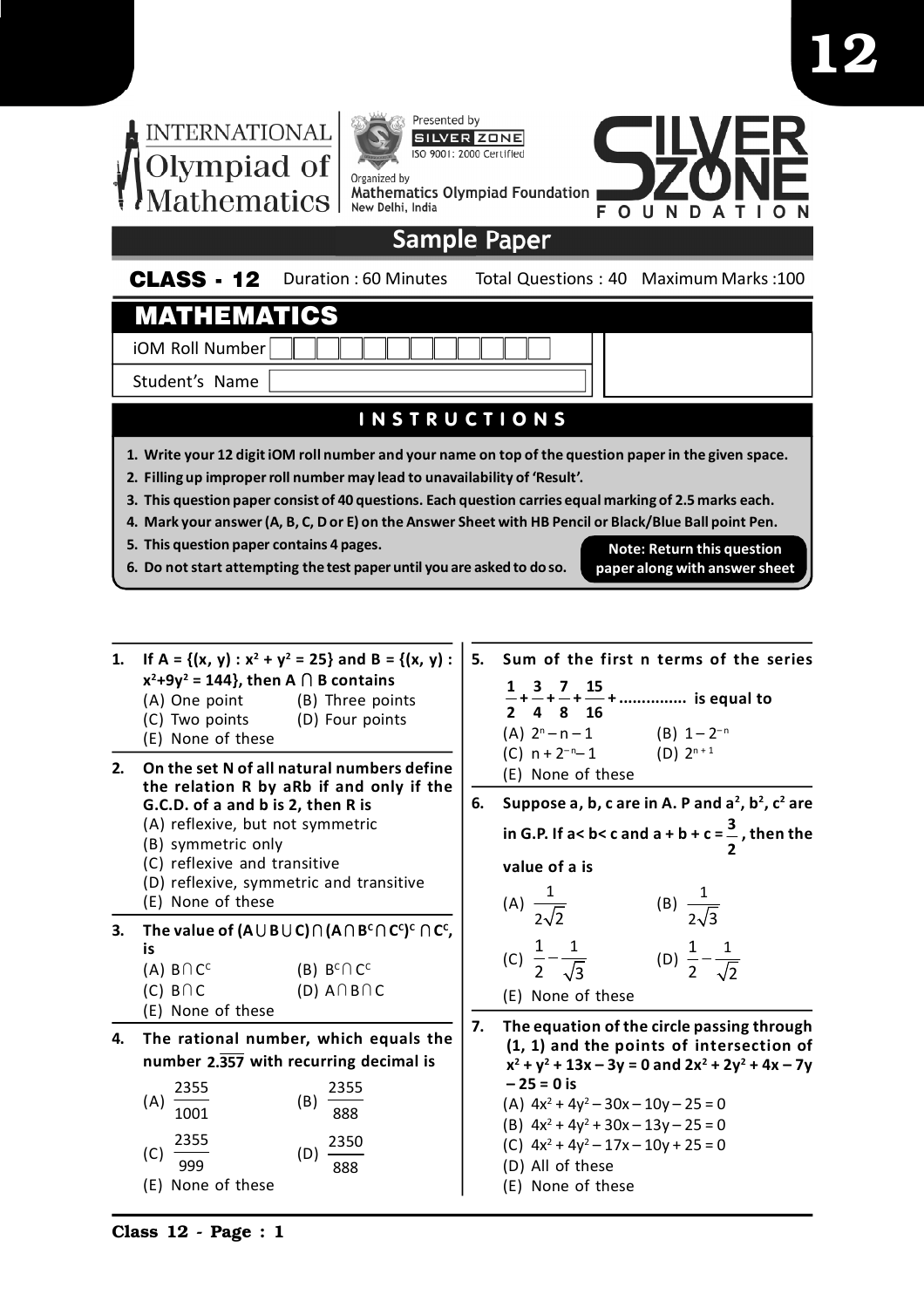

- **1.** If  $A = \{(x, y) : x^2 + y^2 = 25\}$  and  $B = \{(x, y) : x^2 + y^2 = 25\}$  $x^2+9y^2 = 144$ , then A  $\cap$  B contains (A) One point (B) Three points
	- (C) Two points (D) Four points
	- (E) None of these
- **2. On the set N of all natural numbers define the relation R by aRb if and only if the G.C.D. of a and b is 2, then R is**
	- (A) reflexive, but not symmetric
	- (B) symmetric only
	- (C) reflexive and transitive
	- (D) reflexive, symmetric and transitive
	- (E) None of these
- ${\bf C}$  . The value of (A $\cup$  B $\cup$  C) $\cap$  (A $\cap$  B $^{\mathsf{c}}\cap$  C $^{\mathsf{c}}$ ) $^{\mathsf{c}}\cap$  C $^{\mathsf{c}}$ , **is**  $(A)$   $B \cap C^C$ (B)  $B^c \cap C^c$ 
	- $(C)$  B  $\cap$  C  $(D)$  A  $\cap$  B  $\cap$  C
	- (E) None of these
- **4. The rational number, which equals the number 2.357 with recurring decimal is**

| (A) | 2355              |     | 2355 |
|-----|-------------------|-----|------|
|     | 1001              | (B) | 888  |
|     | 2355              |     | 2350 |
| (C) | 999               | (D  | 888  |
|     | (E) None of these |     |      |

- **5. Sum of the first n terms of the series 1 3 7 15 + + + + ............... is equal to 2 4 8 16**  $(A)$  2<sup>n</sup> (B)  $1 - 2^{-n}$ (C)  $n + 2^{-n} - 1$ (D)  $2^{n+1}$ (E) None of these
- **6. Suppose a, b, c are in A. P and a<sup>2</sup> , b<sup>2</sup> , c<sup>2</sup> are in G.P. If a< b< c and a + b + c = <sup>3</sup> 2 , then the value of a is**

(A) 
$$
\frac{1}{2\sqrt{2}}
$$
 (B)  $\frac{1}{2\sqrt{3}}$   
(C) 1 1 (D) 1 1

(C) 
$$
\frac{1}{2} - \frac{1}{\sqrt{3}}
$$
 (D)  $\frac{1}{2} - \frac{1}{\sqrt{2}}$ 

- (E) None of these
- **7. The equation of the circle passing through (1, 1) and the points of intersection of x 2 + y<sup>2</sup> + 13x – 3y = 0 and 2x<sup>2</sup> + 2y<sup>2</sup> + 4x – 7y – 25 = 0 is** (A)  $4x^2 + 4y^2 - 30x - 10y - 25 = 0$ 
	- (B)  $4x^2 + 4y^2 + 30x 13y 25 = 0$ (C)  $4x^2 + 4y^2 - 17x - 10y + 25 = 0$
	-
	- (D) All of these
	- (E) None of these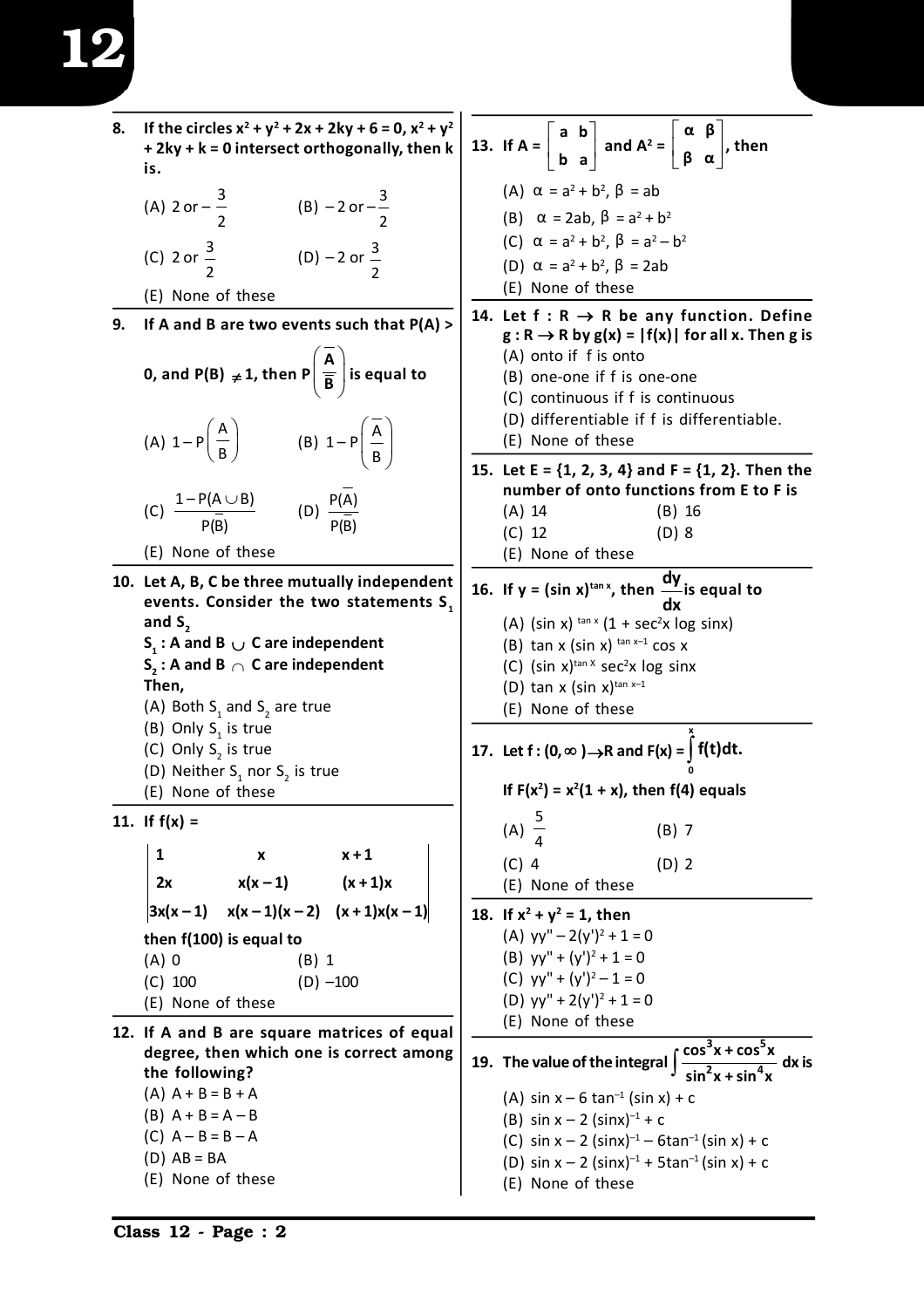- **8.** If the circles  $x^2 + y^2 + 2x + 2ky + 6 = 0$ ,  $x^2 + y^2$ **+ 2ky + k = 0 intersect orthogonally, then k is.**
	- (A) 2 or  $-\frac{3}{5}$ 2 (B) – 2 or –  $\frac{3}{2}$ 2 (C) 2 or  $\frac{3}{5}$ 2 (D)  $-2$  or  $\frac{3}{2}$ 2 (E) None of these
- **9. If A and B are two events such that P(A) >**

**0, and P(B) 1, then P**  $\left(\frac{\mathbf{A}}{\mathbf{\overline{B}}}\right)$  is  $\overline{\overline{\mathsf{B}}}$   $\Big)$  is equal to (A) 1 – P  $\left(\frac{A}{B}\right)$  $\begin{array}{c} \begin{array}{c} \begin{array}{c} \n\end{array} \\ \n\end{array}$  (B) 1-P  $\left(\frac{A}{B}\right)$ B (C)  $\frac{1-P(A\cup B)}{1-P(B)}$ P(B) (D)  $\frac{P(A)}{P(A)}$ P(B) (E) None of these

- **10. Let A, B, C be three mutually independent events. Consider the two statements S<sup>1</sup> and S**<sub>2</sub> **S1 : A and B C are independent S2 : A and B C are independent Then,** (A) Both  $S_1$  and  $S_2$  are true
	- (B) Only  $S_1$  is true
	- (C) Only  $S_2$  is true
	- (D) Neither  $S_1$  nor  $S_2$  is true (E) None of these
- **11. If f(x) =**

**1 x x + 1**  $2x$   $x(x-1)$   $(x+1)x$  $\begin{cases} 3x(x-1) & x(x-1)(x-2) & (x+1)x(x-1) \end{cases}$ **then f(100) is equal to** (A) 0 (B) 1  $(C)$  100  $(D)$  –100

- (E) None of these
- **12. If A and B are square matrices of equal degree, then which one is correct among the following?**  $(A)$  A + B = B + A
	- $(B)$  A + B = A B
	- $(C)$  A B = B A
	- $(D) AB = BA$
	- (E) None of these
- **13. If A =**   $|a b|$  $\left\lfloor \begin{array}{cc} b & a \end{array} \right\rfloor$  **a b b a** and  $A^2 =$  $\alpha \beta$  $\begin{bmatrix} \beta & \alpha \end{bmatrix}'$ **α β β α , then** (A)  $\alpha = a^2 + b^2$ ,  $\beta = ab$ (B)  $\alpha = 2ab, \beta = a^2 + b^2$ (C)  $\alpha = a^2 + b^2$ ,  $\beta = a^2 - b^2$ (D)  $\alpha = a^2 + b^2$ ,  $\beta = 2ab$ (E) None of these
- 14. Let  $f: R \rightarrow R$  be any function. Define  $g: R \to R$  by  $g(x) = |f(x)|$  for all x. Then g is (A) onto if f is onto
	- (B) one-one if f is one-one
	- (C) continuous if f is continuous
	- (D) differentiable if f is differentiable.
	- (E) None of these
- **15. Let E = {1, 2, 3, 4} and F = {1, 2}. Then the number of onto functions from E to F is** (A) 14 (B) 16
	- (C) 12 (D) 8 (E) None of these
- **16. If y = (sin x)tan x, then dy is equal to**
	- **dx** (A) (sin x)  $tan x (1 + sec<sup>2</sup>x log sinx)$
	- (B) tan x (sin x)  $tan x 1 cos x$
	- (C) (sin  $x$ )<sup>tan X</sup> sec<sup>2</sup>x log sinx
	- (D) tan  $x$  (sin  $x$ )<sup>tan  $x-1$ </sup>
	- (E) None of these
- **17.** Let  $f: (0, \infty) \rightarrow R$  and  $F(x) = \int$ **x 0 f(t)dt.**
	- **If**  $F(x^2) = x^2(1 + x)$ **, then**  $f(4)$  **equals**
	- (A) 5 4 (B) 7 (C) 4 (D) 2 (E) None of these
- **18.** If  $x^2 + y^2 = 1$ , then
- (A)  $yy'' 2(y')^2 + 1 = 0$ (B)  $yy'' + (y')^2 + 1 = 0$ (C)  $yy'' + (y')^2 - 1 = 0$ (D)  $yy'' + 2(y')^2 + 1 = 0$ (E) None of these
- **19. The value of the integral**   $3v + \cos^5$  $2v + \sin^4$ **cos x + cos x sin x + sin x dx is** (A) sin  $x - 6$  tan<sup>-1</sup> (sin x) + c
	- (B) sin  $x 2$  (sinx)<sup>-1</sup> + c
	- (C) sin  $x 2$  (sinx)<sup>-1</sup> 6tan<sup>-1</sup> (sin x) + c
	- (D) sin  $x 2$  (sinx)<sup>-1</sup> + 5tan<sup>-1</sup> (sin x) + c
	- (E) None of these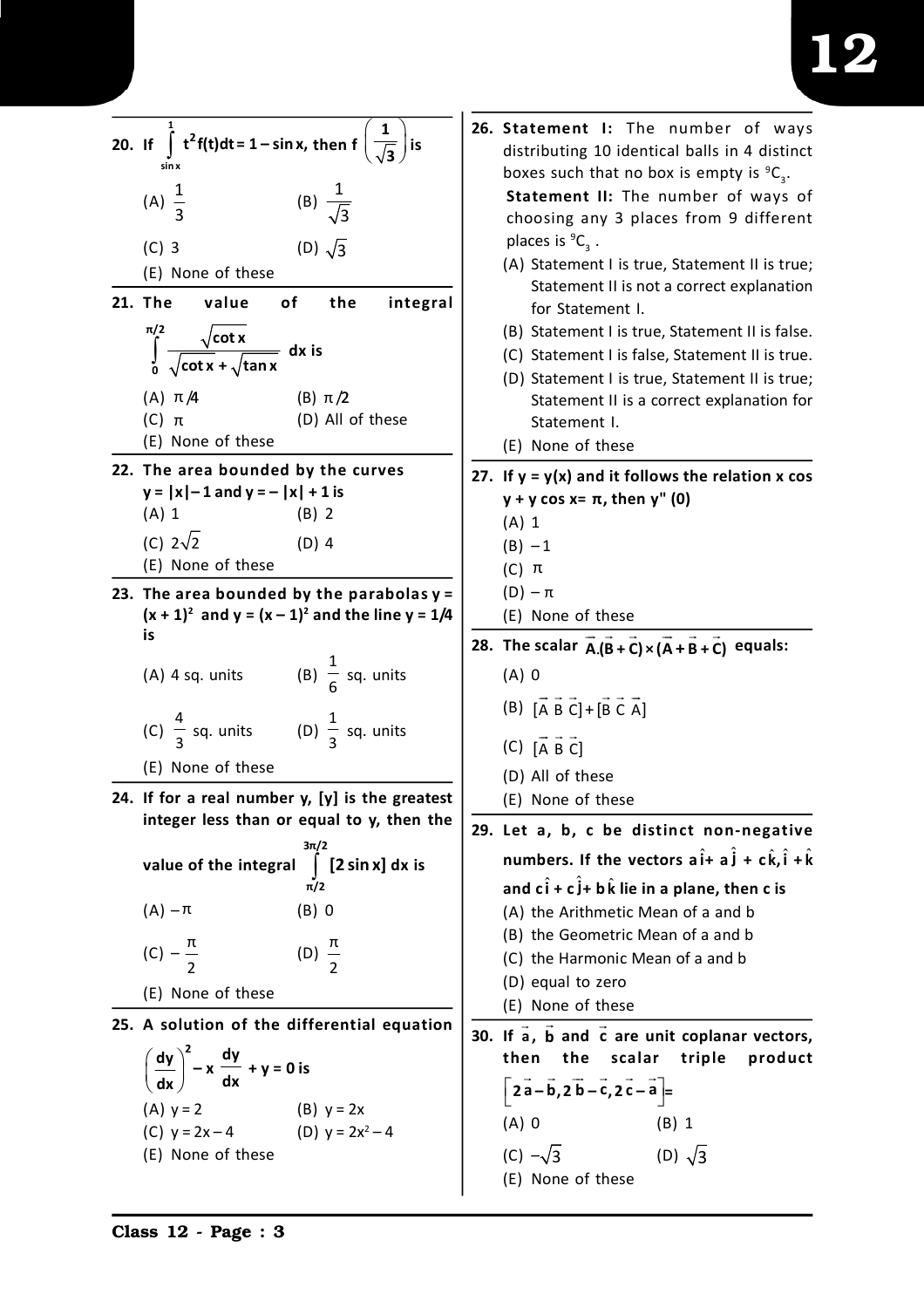| 20. If $\int t^2 f(t) dt = 1 - \sin x$ , then $f\left(\frac{1}{\sqrt{3}}\right)$<br>  is<br>(A) $\frac{1}{3}$<br>(B) $\frac{1}{\sqrt{3}}$<br>(D) $\sqrt{3}$<br>$(C)$ 3<br>(E) None of these<br><b>21. The</b><br>value<br>of<br>the<br>integral<br>π/2                                                                                                           | 26. Statement I: The number of ways<br>distributing 10 identical balls in 4 distinct<br>boxes such that no box is empty is ${}^9C_3$ .<br>Statement II: The number of ways of<br>choosing any 3 places from 9 different<br>places is ${}^{9}C_{3}$ .<br>(A) Statement I is true, Statement II is true;<br>Statement II is not a correct explanation<br>for Statement I.<br>(B) Statement I is true, Statement II is false.                                                                |
|------------------------------------------------------------------------------------------------------------------------------------------------------------------------------------------------------------------------------------------------------------------------------------------------------------------------------------------------------------------|-------------------------------------------------------------------------------------------------------------------------------------------------------------------------------------------------------------------------------------------------------------------------------------------------------------------------------------------------------------------------------------------------------------------------------------------------------------------------------------------|
| $\int_{0}^{\pi/2} \frac{\sqrt{\cot x}}{\sqrt{\cot x} + \sqrt{\tan x}} dx$ is<br>$(A)$ $\pi/4$<br>(B) $\pi/2$<br>(D) All of these<br>$(C)$ $\pi$<br>(E) None of these                                                                                                                                                                                             | (C) Statement I is false, Statement II is true.<br>(D) Statement I is true, Statement II is true;<br>Statement II is a correct explanation for<br>Statement I.<br>(E) None of these                                                                                                                                                                                                                                                                                                       |
| 22. The area bounded by the curves<br>$y =  x  - 1$ and $y = -  x  + 1$ is<br>$(A)$ 1<br>$(B)$ 2<br>(C) $2\sqrt{2}$<br>$(D)$ 4<br>(E) None of these                                                                                                                                                                                                              | 27. If $y = y(x)$ and it follows the relation x cos<br>$y + y \cos x = \pi$ , then $y''(0)$<br>$(A)$ 1<br>$(B) - 1$<br>$(C)$ $\pi$                                                                                                                                                                                                                                                                                                                                                        |
| 23. The area bounded by the parabolas $y =$<br>$(x + 1)^2$ and $y = (x - 1)^2$ and the line $y = 1/4$<br>is<br>(A) 4 sq. units (B) $\frac{1}{6}$ sq. units<br>(C) $\frac{4}{3}$ sq. units (D) $\frac{1}{3}$ sq. units<br>(E) None of these<br>24. If for a real number $y$ , $[y]$ is the greatest<br>integer less than or equal to y, then the<br>$3\pi/2$      | $(D) - \pi$<br>(E) None of these<br>28. The scalar $A(B+C) \times (A+B+C)$ equals:<br>$(A)$ 0<br>$(B)$ $[\overrightarrow{A} \ \overrightarrow{B} \ \overrightarrow{C}] + [\overrightarrow{B} \ \overrightarrow{C} \ \overrightarrow{A}]$<br>$(C)$ [A B C]<br>(D) All of these<br>(E) None of these<br>29. Let a, b, c be distinct non-negative<br>numbers. If the vectors $a\hat{i}+a\hat{j}+c\hat{k}, \hat{i}+\hat{k}$                                                                   |
| $\int$ [2 sin x] dx is<br>value of the integral<br>π/2<br>$(A) - \pi$<br>$(B)$ 0<br>(D) $\frac{\pi}{2}$<br>(C) $-\frac{\pi}{2}$<br>(E) None of these<br>25. A solution of the differential equation<br>$\left(\frac{dy}{dx}\right)^2 - x \frac{dy}{dx} + y = 0$ is<br>(A) $y = 2$<br>(C) $y = 2x - 4$<br>(B) $y = 2x$<br>(D) $y = 2x^2 - 4$<br>(E) None of these | and $c\hat{i} + c\hat{j} + b\hat{k}$ lie in a plane, then c is<br>(A) the Arithmetic Mean of a and b<br>(B) the Geometric Mean of a and b<br>(C) the Harmonic Mean of a and b<br>(D) equal to zero<br>(E) None of these<br>30. If $\vec{a}$ , $\vec{b}$ and $\vec{c}$ are unit coplanar vectors,<br>then the scalar triple<br>product<br>$\left[2\vec{a}-\vec{b},2\vec{b}-\vec{c},2\vec{c}-\vec{a}\right]$ =<br>$(A)$ 0<br>$(B)$ 1<br>(C) $-\sqrt{3}$ (D) $\sqrt{3}$<br>(E) None of these |